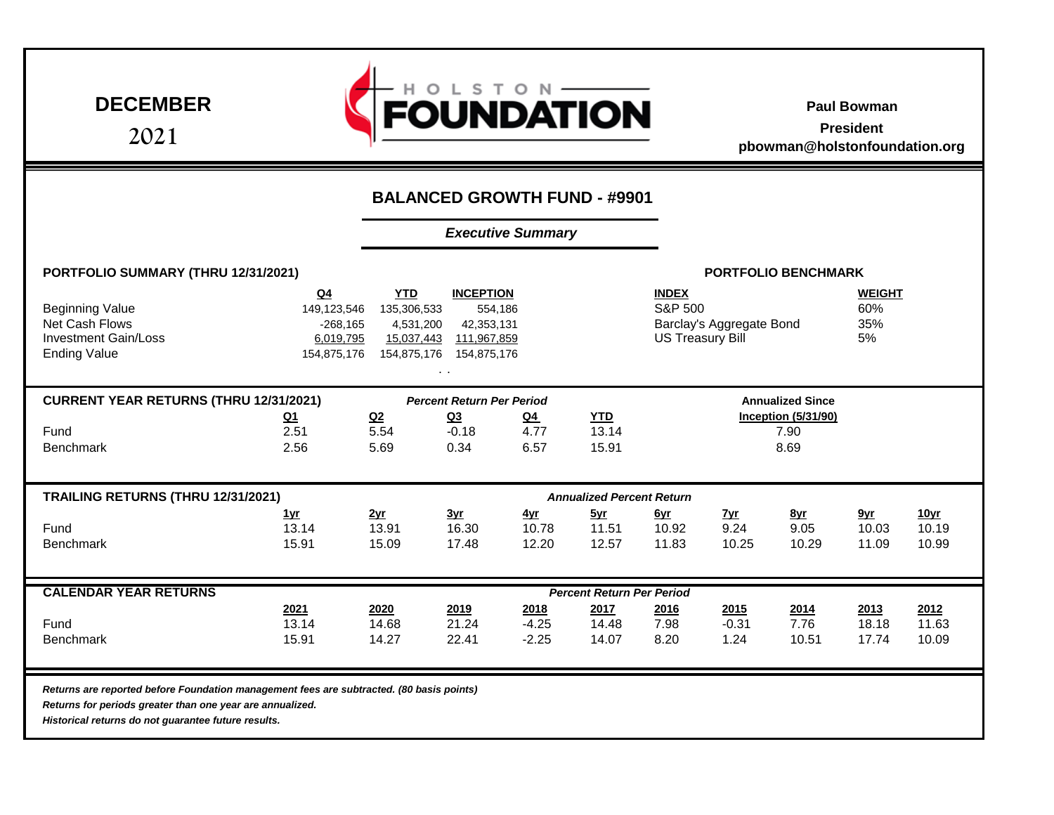**DECEMBER**

**2021**



**Paul Bowman President pbowman@holstonfoundation.org**

|                                                                                                                                                                                                              |                                                                                                                                                                                                                           | <b>BALANCED GROWTH FUND - #9901</b> |                              |                              |                                  |                              |                                                                                                                     |                                            |                              |                               |  |  |
|--------------------------------------------------------------------------------------------------------------------------------------------------------------------------------------------------------------|---------------------------------------------------------------------------------------------------------------------------------------------------------------------------------------------------------------------------|-------------------------------------|------------------------------|------------------------------|----------------------------------|------------------------------|---------------------------------------------------------------------------------------------------------------------|--------------------------------------------|------------------------------|-------------------------------|--|--|
|                                                                                                                                                                                                              | <b>Executive Summary</b>                                                                                                                                                                                                  |                                     |                              |                              |                                  |                              |                                                                                                                     |                                            |                              |                               |  |  |
| PORTFOLIO SUMMARY (THRU 12/31/2021)                                                                                                                                                                          | <b>PORTFOLIO BENCHMARK</b>                                                                                                                                                                                                |                                     |                              |                              |                                  |                              |                                                                                                                     |                                            |                              |                               |  |  |
| <b>Beginning Value</b><br><b>Net Cash Flows</b><br><b>Investment Gain/Loss</b><br><b>Ending Value</b>                                                                                                        | <b>INCEPTION</b><br>Q <sub>4</sub><br><b>YTD</b><br>135,306,533<br>554,186<br>149,123,546<br>$-268,165$<br>4,531,200<br>42,353,131<br>6,019,795<br>15,037,443<br>111,967,859<br>154,875,176<br>154,875,176<br>154,875,176 |                                     |                              |                              |                                  |                              | <b>INDEX</b><br><b>WEIGHT</b><br>S&P 500<br>60%<br>35%<br>Barclay's Aggregate Bond<br><b>US Treasury Bill</b><br>5% |                                            |                              |                               |  |  |
| <b>CURRENT YEAR RETURNS (THRU 12/31/2021)</b>                                                                                                                                                                |                                                                                                                                                                                                                           | <b>Annualized Since</b>             |                              |                              |                                  |                              |                                                                                                                     |                                            |                              |                               |  |  |
| Fund<br><b>Benchmark</b>                                                                                                                                                                                     | <u>Q1</u><br>2.51<br>2.56                                                                                                                                                                                                 | Q2<br>5.54<br>5.69                  | <u>Q3</u><br>$-0.18$<br>0.34 | $Q_4$<br>4.77<br>6.57        | <b>YTD</b><br>13.14<br>15.91     |                              |                                                                                                                     | <b>Inception (5/31/90)</b><br>7.90<br>8.69 |                              |                               |  |  |
| TRAILING RETURNS (THRU 12/31/2021)                                                                                                                                                                           |                                                                                                                                                                                                                           |                                     |                              |                              | <b>Annualized Percent Return</b> |                              |                                                                                                                     |                                            |                              |                               |  |  |
| Fund<br><b>Benchmark</b>                                                                                                                                                                                     | <u>1yr</u><br>13.14<br>15.91                                                                                                                                                                                              | 2yr<br>13.91<br>15.09               | <u>3yr</u><br>16.30<br>17.48 | <u>4yr</u><br>10.78<br>12.20 | 5yr<br>11.51<br>12.57            | <u>Gyr</u><br>10.92<br>11.83 | <u>7yr</u><br>9.24<br>10.25                                                                                         | <u>8yr</u><br>9.05<br>10.29                | <u>9yr</u><br>10.03<br>11.09 | <u>10yr</u><br>10.19<br>10.99 |  |  |
| <b>CALENDAR YEAR RETURNS</b>                                                                                                                                                                                 | <b>Percent Return Per Period</b>                                                                                                                                                                                          |                                     |                              |                              |                                  |                              |                                                                                                                     |                                            |                              |                               |  |  |
| Fund<br><b>Benchmark</b>                                                                                                                                                                                     | 2021<br>13.14<br>15.91                                                                                                                                                                                                    | 2020<br>14.68<br>14.27              | 2019<br>21.24<br>22.41       | 2018<br>$-4.25$<br>$-2.25$   | 2017<br>14.48<br>14.07           | 2016<br>7.98<br>8.20         | 2015<br>$-0.31$<br>1.24                                                                                             | 2014<br>7.76<br>10.51                      | 2013<br>18.18<br>17.74       | 2012<br>11.63<br>10.09        |  |  |
| Returns are reported before Foundation management fees are subtracted. (80 basis points)<br>Returns for periods greater than one year are annualized.<br>Historical returns do not guarantee future results. |                                                                                                                                                                                                                           |                                     |                              |                              |                                  |                              |                                                                                                                     |                                            |                              |                               |  |  |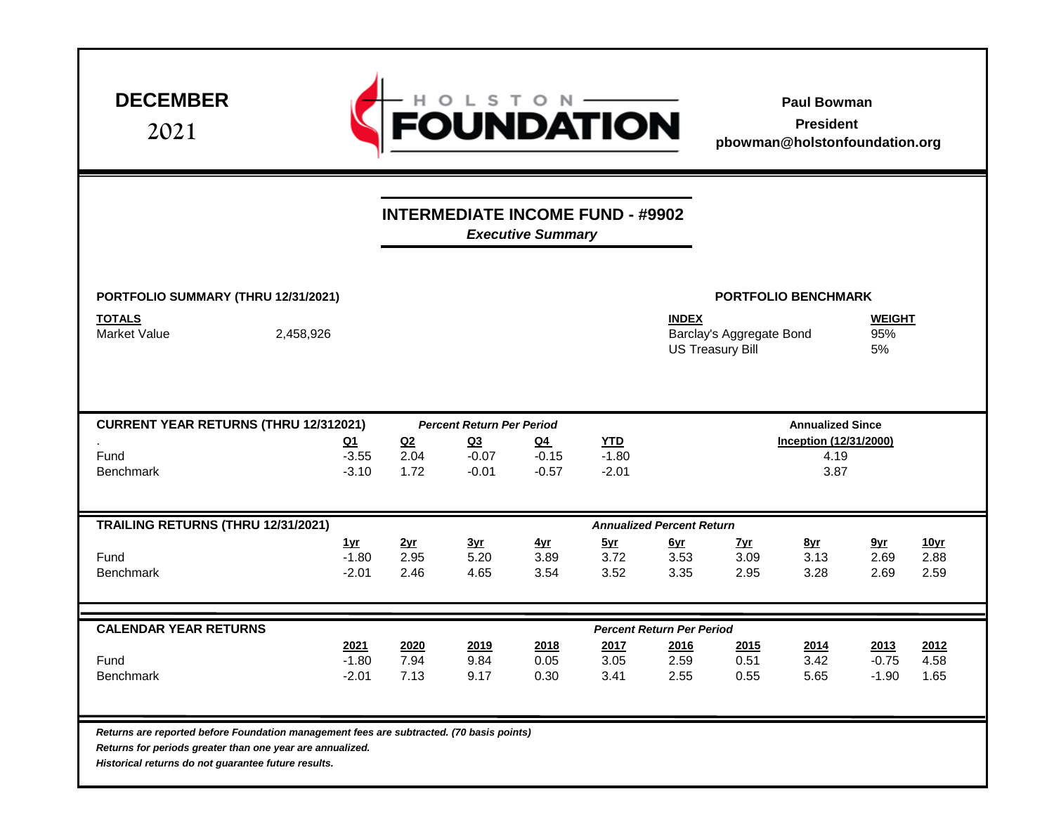| <b>DECEMBER</b><br>2021                                                                                                                                                                                      |                                  |                                | FOUNDATION                              |                             |                                  |                                  |                                                     | <b>Paul Bowman</b><br><b>President</b><br>pbowman@holstonfoundation.org |                            |                             |  |
|--------------------------------------------------------------------------------------------------------------------------------------------------------------------------------------------------------------|----------------------------------|--------------------------------|-----------------------------------------|-----------------------------|----------------------------------|----------------------------------|-----------------------------------------------------|-------------------------------------------------------------------------|----------------------------|-----------------------------|--|
|                                                                                                                                                                                                              |                                  |                                | <b>INTERMEDIATE INCOME FUND - #9902</b> | <b>Executive Summary</b>    |                                  |                                  |                                                     |                                                                         |                            |                             |  |
| PORTFOLIO SUMMARY (THRU 12/31/2021)                                                                                                                                                                          |                                  |                                |                                         |                             |                                  |                                  | <b>PORTFOLIO BENCHMARK</b>                          |                                                                         |                            |                             |  |
| <b>TOTALS</b><br><b>Market Value</b><br>2,458,926                                                                                                                                                            |                                  |                                |                                         |                             |                                  | <b>INDEX</b>                     | Barclay's Aggregate Bond<br><b>US Treasury Bill</b> |                                                                         | <b>WEIGHT</b><br>95%<br>5% |                             |  |
| <b>CURRENT YEAR RETURNS (THRU 12/312021)</b>                                                                                                                                                                 |                                  |                                | <b>Percent Return Per Period</b>        |                             |                                  |                                  | <b>Annualized Since</b>                             |                                                                         |                            |                             |  |
| Fund<br><b>Benchmark</b>                                                                                                                                                                                     | <u>Q1</u><br>$-3.55$<br>$-3.10$  | Q <sub>2</sub><br>2.04<br>1.72 | Q <sub>3</sub><br>$-0.07$<br>$-0.01$    | $Q_4$<br>$-0.15$<br>$-0.57$ | <b>YTD</b><br>$-1.80$<br>$-2.01$ |                                  | <b>Inception (12/31/2000)</b><br>4.19<br>3.87       |                                                                         |                            |                             |  |
| TRAILING RETURNS (THRU 12/31/2021)                                                                                                                                                                           |                                  |                                |                                         |                             |                                  | <b>Annualized Percent Return</b> |                                                     |                                                                         |                            |                             |  |
| Fund<br><b>Benchmark</b>                                                                                                                                                                                     | <u>1yr</u><br>$-1.80$<br>$-2.01$ | 2yr<br>2.95<br>2.46            | 3yr<br>5.20<br>4.65                     | 4yr<br>3.89<br>3.54         | 5yr<br>3.72<br>3.52              | <u>Gyr</u><br>3.53<br>3.35       | <u>Zyr</u><br>3.09<br>2.95                          | <u>8yr</u><br>3.13<br>3.28                                              | 9yr<br>2.69<br>2.69        | <u>10yr</u><br>2.88<br>2.59 |  |
| <b>CALENDAR YEAR RETURNS</b>                                                                                                                                                                                 |                                  |                                |                                         |                             |                                  | <b>Percent Return Per Period</b> |                                                     |                                                                         |                            |                             |  |
| Fund<br>Benchmark                                                                                                                                                                                            | 2021<br>$-1.80$<br>$-2.01$       | 2020<br>7.94<br>7.13           | 2019<br>9.84<br>9.17                    | 2018<br>0.05<br>0.30        | 2017<br>3.05<br>3.41             | 2016<br>2.59<br>2.55             | 2015<br>0.51<br>0.55                                | 2014<br>3.42<br>5.65                                                    | 2013<br>$-0.75$<br>$-1.90$ | 2012<br>4.58<br>1.65        |  |
| Returns are reported before Foundation management fees are subtracted. (70 basis points)<br>Returns for periods greater than one year are annualized.<br>Historical returns do not guarantee future results. |                                  |                                |                                         |                             |                                  |                                  |                                                     |                                                                         |                            |                             |  |

Г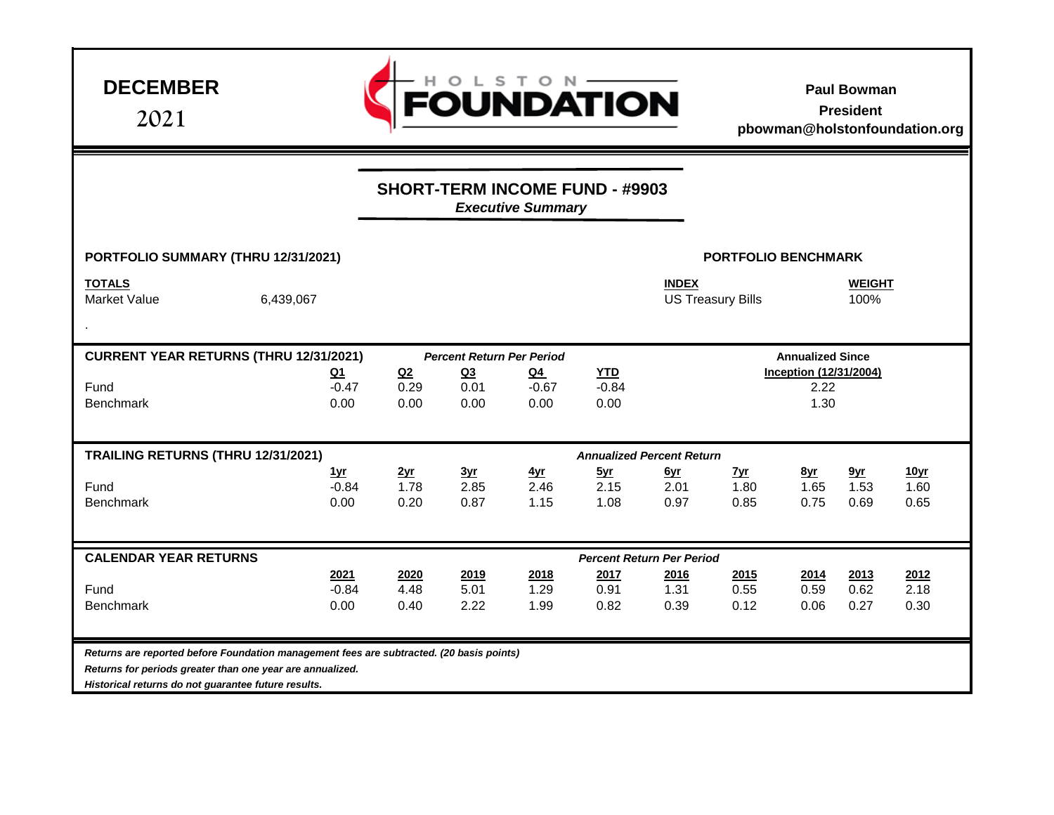**DECEMBER**

**2021**



**Paul Bowman President** 

**pbowman@holstonfoundation.org**

|                                                                                                                                                                                                              |                               | <b>SHORT-TERM INCOME FUND - #9903</b> |                                  |                            |                                  |                            |                                               |                            |                                 |                                  |  |  |
|--------------------------------------------------------------------------------------------------------------------------------------------------------------------------------------------------------------|-------------------------------|---------------------------------------|----------------------------------|----------------------------|----------------------------------|----------------------------|-----------------------------------------------|----------------------------|---------------------------------|----------------------------------|--|--|
|                                                                                                                                                                                                              |                               | <b>Executive Summary</b>              |                                  |                            |                                  |                            |                                               |                            |                                 |                                  |  |  |
|                                                                                                                                                                                                              |                               |                                       |                                  |                            |                                  |                            |                                               |                            |                                 |                                  |  |  |
| PORTFOLIO SUMMARY (THRU 12/31/2021)                                                                                                                                                                          |                               |                                       | <b>PORTFOLIO BENCHMARK</b>       |                            |                                  |                            |                                               |                            |                                 |                                  |  |  |
| <b>TOTALS</b><br><b>Market Value</b>                                                                                                                                                                         | 6,439,067                     |                                       |                                  |                            |                                  | <b>INDEX</b>               | <b>US Treasury Bills</b>                      |                            | <b>WEIGHT</b><br>100%           |                                  |  |  |
|                                                                                                                                                                                                              |                               |                                       |                                  |                            |                                  |                            |                                               |                            |                                 |                                  |  |  |
| <b>CURRENT YEAR RETURNS (THRU 12/31/2021)</b>                                                                                                                                                                |                               |                                       | <b>Percent Return Per Period</b> |                            |                                  |                            | <b>Annualized Since</b>                       |                            |                                 |                                  |  |  |
| Fund<br><b>Benchmark</b>                                                                                                                                                                                     | $Q_1$<br>$-0.47$<br>0.00      | Q2<br>0.29<br>0.00                    | Q <sub>3</sub><br>0.01<br>0.00   | $Q_4$<br>$-0.67$<br>0.00   | <b>YTD</b><br>$-0.84$<br>0.00    |                            | <b>Inception (12/31/2004)</b><br>2.22<br>1.30 |                            |                                 |                                  |  |  |
|                                                                                                                                                                                                              |                               |                                       |                                  |                            |                                  |                            |                                               |                            |                                 |                                  |  |  |
| TRAILING RETURNS (THRU 12/31/2021)                                                                                                                                                                           |                               |                                       | 3yr                              |                            | <b>Annualized Percent Return</b> |                            |                                               |                            |                                 |                                  |  |  |
| Fund<br><b>Benchmark</b>                                                                                                                                                                                     | <u>1vr</u><br>$-0.84$<br>0.00 | 2yr<br>1.78<br>0.20                   | 2.85<br>0.87                     | <u>4vr</u><br>2.46<br>1.15 | 5yr<br>2.15<br>1.08              | <u>Gyr</u><br>2.01<br>0.97 | <u> Zvr</u><br>1.80<br>0.85                   | <u>8yr</u><br>1.65<br>0.75 | 9 <sub>yr</sub><br>1.53<br>0.69 | 10 <sub>yr</sub><br>1.60<br>0.65 |  |  |
| <b>CALENDAR YEAR RETURNS</b>                                                                                                                                                                                 |                               |                                       |                                  |                            | <b>Percent Return Per Period</b> |                            |                                               |                            |                                 |                                  |  |  |
| Fund<br>Benchmark                                                                                                                                                                                            | 2021<br>$-0.84$<br>0.00       | 2020<br>4.48<br>0.40                  | 2019<br>5.01<br>2.22             | 2018<br>1.29<br>1.99       | 2017<br>0.91<br>0.82             | 2016<br>1.31<br>0.39       | 2015<br>0.55<br>0.12                          | 2014<br>0.59<br>0.06       | 2013<br>0.62<br>0.27            | 2012<br>2.18<br>0.30             |  |  |
| Returns are reported before Foundation management fees are subtracted. (20 basis points)<br>Returns for periods greater than one year are annualized.<br>Historical returns do not guarantee future results. |                               |                                       |                                  |                            |                                  |                            |                                               |                            |                                 |                                  |  |  |